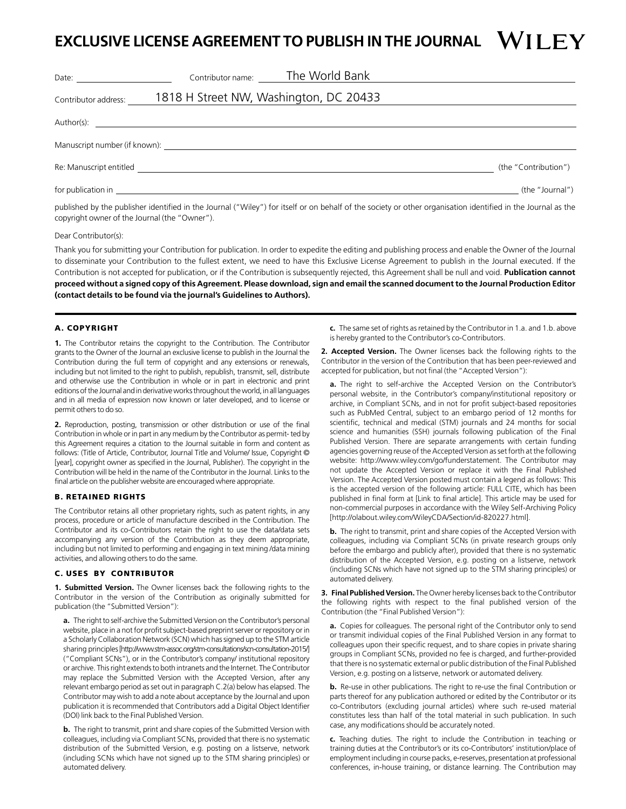# **EXCLUSIVE LICENSE AGREEMENT TO PUBLISH IN THE JOURNAL**

|                      | Contributor name: The World Bank                                                                                                                                                                                               |                                                                                                                                                         |
|----------------------|--------------------------------------------------------------------------------------------------------------------------------------------------------------------------------------------------------------------------------|---------------------------------------------------------------------------------------------------------------------------------------------------------|
| Contributor address: | 1818 H Street NW, Washington, DC 20433                                                                                                                                                                                         |                                                                                                                                                         |
|                      |                                                                                                                                                                                                                                |                                                                                                                                                         |
|                      | Manuscript number (if known): Notified that the state of the state of the state of the state of the state of the state of the state of the state of the state of the state of the state of the state of the state of the state |                                                                                                                                                         |
|                      |                                                                                                                                                                                                                                | (the "Contribution")                                                                                                                                    |
|                      |                                                                                                                                                                                                                                | (the "Journal")                                                                                                                                         |
|                      |                                                                                                                                                                                                                                | relative to a subject of the lower of the control ("Miley") for itself as an behalf of the cociety or ather association identified in the lower los the |

published by the publisher identified in the Journal ("Wiley") for itself or on behalf of the society or other organisation identified in the Journal as the copyright owner of the Journal (the "Owner").

#### Dear Contributor(s):

Thank you for submitting your Contribution for publication. In order to expedite the editing and publishing process and enable the Owner of the Journal to disseminate your Contribution to the fullest extent, we need to have this Exclusive License Agreement to publish in the Journal executed. If the Contribution is not accepted for publication, or if the Contribution is subsequently rejected, this Agreement shall be null and void. **Publication cannot proceed without a signed copy of this Agreement. Please download, sign and email the scanned document to the Journal Production Editor (contact details to be found via the journal's Guidelines to Authors).**

## A. COPYRIGHT

**1.** The Contributor retains the copyright to the Contribution. The Contributor grants to the Owner of the Journal an exclusive license to publish in the Journal the Contribution during the full term of copyright and any extensions or renewals, including but not limited to the right to publish, republish, transmit, sell, distribute and otherwise use the Contribution in whole or in part in electronic and print editions of the Journal and in derivative works throughout the world, in all languages and in all media of expression now known or later developed, and to license or permit others to do so.

**2.** Reproduction, posting, transmission or other distribution or use of the final Contribution in whole or in part in any medium by the Contributor as permit- ted by this Agreement requires a citation to the Journal suitable in form and content as follows: (Title of Article, Contributor, Journal Title and Volume/ Issue, Copyright © [year], copyright owner as specified in the Journal, Publisher). The copyright in the Contribution will be held in the name of the Contributor in the Journal. Links to the final article on the publisher website are encouraged where appropriate.

#### B. RETAINED RIGHTS

The Contributor retains all other proprietary rights, such as patent rights, in any process, procedure or article of manufacture described in the Contribution. The Contributor and its co-Contributors retain the right to use the data/data sets accompanying any version of the Contribution as they deem appropriate, including but not limited to performing and engaging in text mining /data mining activities, and allowing others to do the same.

## C. USES BY CONTRIBUTOR

**1. Submitted Version.** The Owner licenses back the following rights to the Contributor in the version of the Contribution as originally submitted for publication (the "Submitted Version"):

**a.** The right to self-archive the Submitted Version on the Contributor's personal website, place in a not for profit subject-based preprint server or repository or in a Scholarly Collaboration Network (SCN) which has signed up to the STM article sharing principles [http://www.stm-assoc.org/stm-consultations/scn-consultation-2015/] ("Compliant SCNs"), or in the Contributor's company/ institutional repository or archive. This right extends to both intranets and the Internet. The Contributor may replace the Submitted Version with the Accepted Version, after any relevant embargo period as set out in paragraph C.2(a) below has elapsed. The Contributor may wish to add a note about acceptance by the Journal and upon publication it is recommended that Contributors add a Digital Object Identifier (DOI) link back to the Final Published Version.

**b.** The right to transmit, print and share copies of the Submitted Version with colleagues, including via Compliant SCNs, provided that there is no systematic distribution of the Submitted Version, e.g. posting on a listserve, network (including SCNs which have not signed up to the STM sharing principles) or automated delivery.

**c.** The same set of rights as retained by the Contributor in 1.a. and 1.b. above is hereby granted to the Contributor's co-Contributors.

**2. Accepted Version.** The Owner licenses back the following rights to the Contributor in the version of the Contribution that has been peer-reviewed and accepted for publication, but not final (the "Accepted Version"):

**a.** The right to self-archive the Accepted Version on the Contributor's personal website, in the Contributor's company/institutional repository or archive, in Compliant SCNs, and in not for profit subject-based repositories such as PubMed Central, subject to an embargo period of 12 months for scientific, technical and medical (STM) journals and 24 months for social science and humanities (SSH) journals following publication of the Final Published Version. There are separate arrangements with certain funding agencies governing reuse of the Accepted Version as set forth at the following website: http://www.wiley.com/go/funderstatement. The Contributor may not update the Accepted Version or replace it with the Final Published Version. The Accepted Version posted must contain a legend as follows: This is the accepted version of the following article: FULL CITE, which has been published in final form at [Link to final article]. This article may be used for non-commercial purposes in accordance with the Wiley Self-Archiving Policy [http://olabout.wiley.com/WileyCDA/Section/id-820227.html].

**b.** The right to transmit, print and share copies of the Accepted Version with colleagues, including via Compliant SCNs (in private research groups only before the embargo and publicly after), provided that there is no systematic distribution of the Accepted Version, e.g. posting on a listserve, network (including SCNs which have not signed up to the STM sharing principles) or automated delivery.

**3. Final Published Version.** The Owner hereby licenses back to the Contributor the following rights with respect to the final published version of the Contribution (the "Final Published Version"):

**a.** Copies for colleagues. The personal right of the Contributor only to send or transmit individual copies of the Final Published Version in any format to colleagues upon their specific request, and to share copies in private sharing groups in Compliant SCNs, provided no fee is charged, and further-provided that there is no systematic external or public distribution of the Final Published Version, e.g. posting on a listserve, network or automated delivery.

**b.** Re-use in other publications. The right to re-use the final Contribution or parts thereof for any publication authored or edited by the Contributor or its co-Contributors (excluding journal articles) where such re-used material constitutes less than half of the total material in such publication. In such case, any modifications should be accurately noted.

**c.** Teaching duties. The right to include the Contribution in teaching or training duties at the Contributor's or its co-Contributors' institution/place of employment including in course packs, e-reserves, presentation at professional conferences, in-house training, or distance learning. The Contribution may